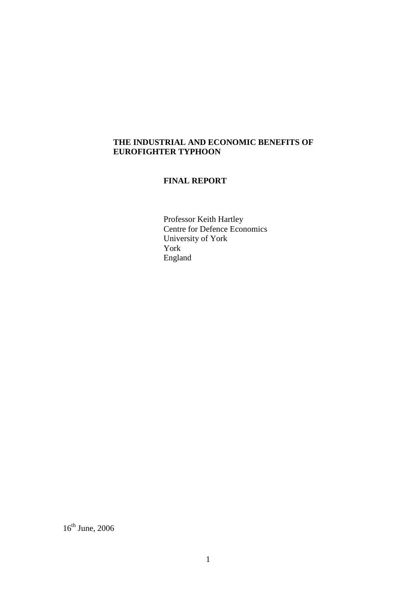# **THE INDUSTRIAL AND ECONOMIC BENEFITS OF EUROFIGHTER TYPHOON**

# **FINAL REPORT**

Professor Keith Hartley Centre for Defence Economics University of York York England

 $16^{\text{th}}$  June, 2006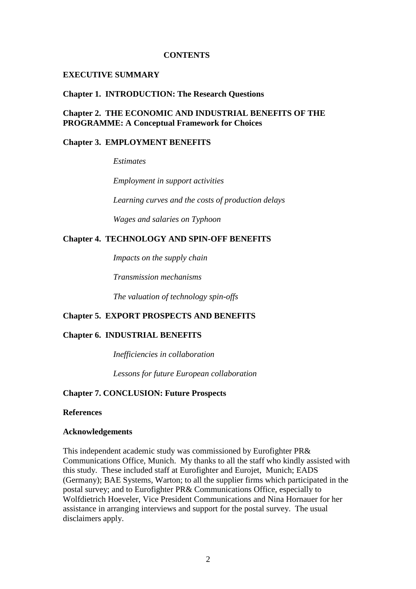#### **CONTENTS**

#### **EXECUTIVE SUMMARY**

#### **Chapter 1. INTRODUCTION: The Research Questions**

# **Chapter 2. THE ECONOMIC AND INDUSTRIAL BENEFITS OF THE PROGRAMME: A Conceptual Framework for Choices**

# **Chapter 3. EMPLOYMENT BENEFITS**

*Estimates* 

 *Employment in support activities* 

 *Learning curves and the costs of production delays* 

*Wages and salaries on Typhoon* 

### **Chapter 4. TECHNOLOGY AND SPIN-OFF BENEFITS**

*Impacts on the supply chain* 

 *Transmission mechanisms* 

 *The valuation of technology spin-offs* 

### **Chapter 5. EXPORT PROSPECTS AND BENEFITS**

### **Chapter 6. INDUSTRIAL BENEFITS**

*Inefficiencies in collaboration* 

*Lessons for future European collaboration* 

### **Chapter 7. CONCLUSION: Future Prospects**

### **References**

### **Acknowledgements**

This independent academic study was commissioned by Eurofighter PR& Communications Office, Munich. My thanks to all the staff who kindly assisted with this study. These included staff at Eurofighter and Eurojet, Munich; EADS (Germany); BAE Systems, Warton; to all the supplier firms which participated in the postal survey; and to Eurofighter PR& Communications Office, especially to Wolfdietrich Hoeveler, Vice President Communications and Nina Hornauer for her assistance in arranging interviews and support for the postal survey. The usual disclaimers apply.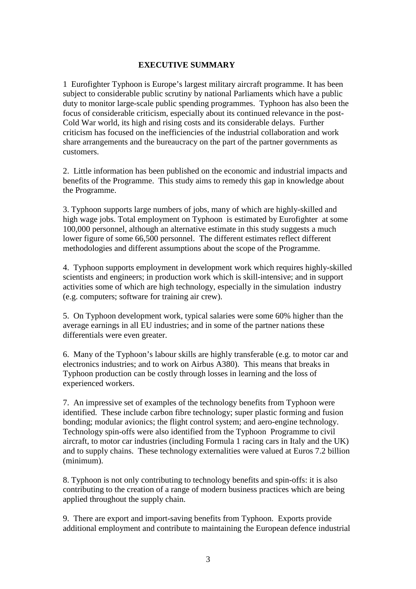### **EXECUTIVE SUMMARY**

1 Eurofighter Typhoon is Europe's largest military aircraft programme. It has been subject to considerable public scrutiny by national Parliaments which have a public duty to monitor large-scale public spending programmes. Typhoon has also been the focus of considerable criticism, especially about its continued relevance in the post-Cold War world, its high and rising costs and its considerable delays. Further criticism has focused on the inefficiencies of the industrial collaboration and work share arrangements and the bureaucracy on the part of the partner governments as customers.

2. Little information has been published on the economic and industrial impacts and benefits of the Programme. This study aims to remedy this gap in knowledge about the Programme.

3. Typhoon supports large numbers of jobs, many of which are highly-skilled and high wage jobs. Total employment on Typhoon is estimated by Eurofighter at some 100,000 personnel, although an alternative estimate in this study suggests a much lower figure of some 66,500 personnel. The different estimates reflect different methodologies and different assumptions about the scope of the Programme.

4. Typhoon supports employment in development work which requires highly-skilled scientists and engineers; in production work which is skill-intensive; and in support activities some of which are high technology, especially in the simulation industry (e.g. computers; software for training air crew).

5. On Typhoon development work, typical salaries were some 60% higher than the average earnings in all EU industries; and in some of the partner nations these differentials were even greater.

6. Many of the Typhoon's labour skills are highly transferable (e.g. to motor car and electronics industries; and to work on Airbus A380). This means that breaks in Typhoon production can be costly through losses in learning and the loss of experienced workers.

7. An impressive set of examples of the technology benefits from Typhoon were identified. These include carbon fibre technology; super plastic forming and fusion bonding; modular avionics; the flight control system; and aero-engine technology. Technology spin-offs were also identified from the Typhoon Programme to civil aircraft, to motor car industries (including Formula 1 racing cars in Italy and the UK) and to supply chains. These technology externalities were valued at Euros 7.2 billion (minimum).

8. Typhoon is not only contributing to technology benefits and spin-offs: it is also contributing to the creation of a range of modern business practices which are being applied throughout the supply chain.

9. There are export and import-saving benefits from Typhoon. Exports provide additional employment and contribute to maintaining the European defence industrial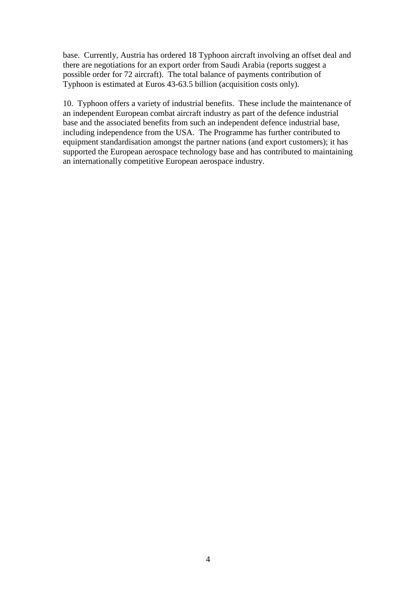base. Currently, Austria has ordered 18 Typhoon aircraft involving an offset deal and there are negotiations for an export order from Saudi Arabia (reports suggest a possible order for 72 aircraft). The total balance of payments contribution of Typhoon is estimated at Euros 43-63.5 billion (acquisition costs only).

10. Typhoon offers a variety of industrial benefits. These include the maintenance of an independent European combat aircraft industry as part of the defence industrial base and the associated benefits from such an independent defence industrial base, including independence from the USA. The Programme has further contributed to equipment standardisation amongst the partner nations (and export customers); it has supported the European aerospace technology base and has contributed to maintaining an internationally competitive European aerospace industry.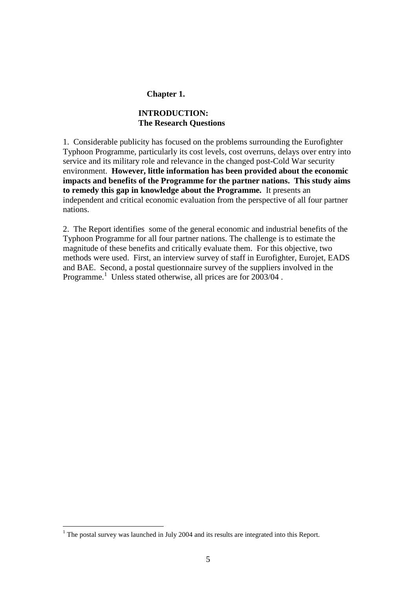### **Chapter 1.**

# **INTRODUCTION: The Research Questions**

1. Considerable publicity has focused on the problems surrounding the Eurofighter Typhoon Programme, particularly its cost levels, cost overruns, delays over entry into service and its military role and relevance in the changed post-Cold War security environment. **However, little information has been provided about the economic impacts and benefits of the Programme for the partner nations. This study aims to remedy this gap in knowledge about the Programme.** It presents an independent and critical economic evaluation from the perspective of all four partner nations.

2. The Report identifies some of the general economic and industrial benefits of the Typhoon Programme for all four partner nations. The challenge is to estimate the magnitude of these benefits and critically evaluate them. For this objective, two methods were used. First, an interview survey of staff in Eurofighter, Eurojet, EADS and BAE. Second, a postal questionnaire survey of the suppliers involved in the Programme.<sup>1</sup> Unless stated otherwise, all prices are for 2003/04.

 $\overline{a}$ 

 $1$  The postal survey was launched in July 2004 and its results are integrated into this Report.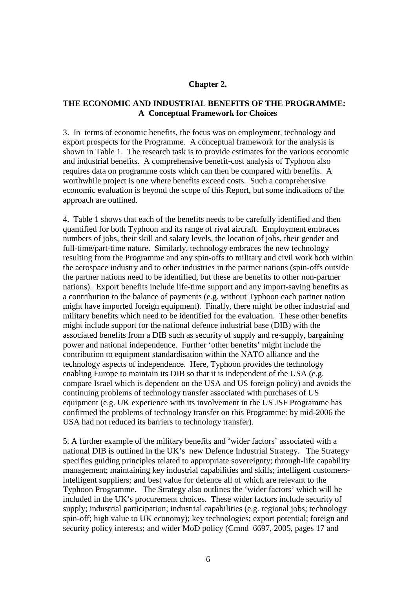#### **Chapter 2.**

### **THE ECONOMIC AND INDUSTRIAL BENEFITS OF THE PROGRAMME: A Conceptual Framework for Choices**

3. In terms of economic benefits, the focus was on employment, technology and export prospects for the Programme. A conceptual framework for the analysis is shown in Table 1. The research task is to provide estimates for the various economic and industrial benefits. A comprehensive benefit-cost analysis of Typhoon also requires data on programme costs which can then be compared with benefits. A worthwhile project is one where benefits exceed costs. Such a comprehensive economic evaluation is beyond the scope of this Report, but some indications of the approach are outlined.

4. Table 1 shows that each of the benefits needs to be carefully identified and then quantified for both Typhoon and its range of rival aircraft. Employment embraces numbers of jobs, their skill and salary levels, the location of jobs, their gender and full-time/part-time nature. Similarly, technology embraces the new technology resulting from the Programme and any spin-offs to military and civil work both within the aerospace industry and to other industries in the partner nations (spin-offs outside the partner nations need to be identified, but these are benefits to other non-partner nations). Export benefits include life-time support and any import-saving benefits as a contribution to the balance of payments (e.g. without Typhoon each partner nation might have imported foreign equipment). Finally, there might be other industrial and military benefits which need to be identified for the evaluation. These other benefits might include support for the national defence industrial base (DIB) with the associated benefits from a DIB such as security of supply and re-supply, bargaining power and national independence. Further 'other benefits' might include the contribution to equipment standardisation within the NATO alliance and the technology aspects of independence. Here, Typhoon provides the technology enabling Europe to maintain its DIB so that it is independent of the USA (e.g. compare Israel which is dependent on the USA and US foreign policy) and avoids the continuing problems of technology transfer associated with purchases of US equipment (e.g. UK experience with its involvement in the US JSF Programme has confirmed the problems of technology transfer on this Programme: by mid-2006 the USA had not reduced its barriers to technology transfer).

5. A further example of the military benefits and 'wider factors' associated with a national DIB is outlined in the UK's new Defence Industrial Strategy. The Strategy specifies guiding principles related to appropriate sovereignty; through-life capability management; maintaining key industrial capabilities and skills; intelligent customersintelligent suppliers; and best value for defence all of which are relevant to the Typhoon Programme. The Strategy also outlines the 'wider factors' which will be included in the UK's procurement choices. These wider factors include security of supply; industrial participation; industrial capabilities (e.g. regional jobs; technology spin-off; high value to UK economy); key technologies; export potential; foreign and security policy interests; and wider MoD policy (Cmnd 6697, 2005, pages 17 and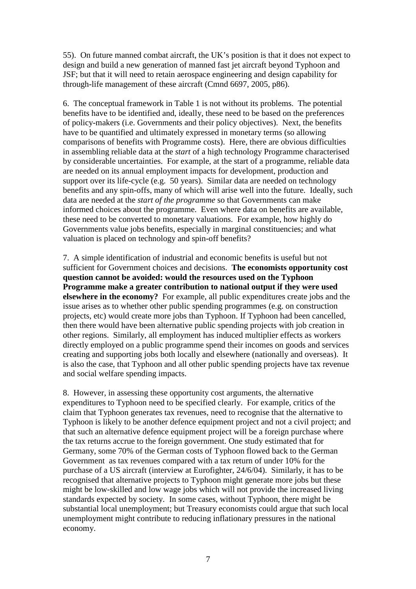55). On future manned combat aircraft, the UK's position is that it does not expect to design and build a new generation of manned fast jet aircraft beyond Typhoon and JSF; but that it will need to retain aerospace engineering and design capability for through-life management of these aircraft (Cmnd 6697, 2005, p86).

6. The conceptual framework in Table 1 is not without its problems. The potential benefits have to be identified and, ideally, these need to be based on the preferences of policy-makers (i.e. Governments and their policy objectives). Next, the benefits have to be quantified and ultimately expressed in monetary terms (so allowing comparisons of benefits with Programme costs). Here, there are obvious difficulties in assembling reliable data at the *start* of a high technology Programme characterised by considerable uncertainties. For example, at the start of a programme, reliable data are needed on its annual employment impacts for development, production and support over its life-cycle (e.g. 50 years). Similar data are needed on technology benefits and any spin-offs, many of which will arise well into the future. Ideally, such data are needed at the *start of the programme* so that Governments can make informed choices about the programme. Even where data on benefits are available, these need to be converted to monetary valuations. For example, how highly do Governments value jobs benefits, especially in marginal constituencies; and what valuation is placed on technology and spin-off benefits?

7. A simple identification of industrial and economic benefits is useful but not sufficient for Government choices and decisions. **The economists opportunity cost question cannot be avoided: would the resources used on the Typhoon Programme make a greater contribution to national output if they were used elsewhere in the economy?** For example, all public expenditures create jobs and the issue arises as to whether other public spending programmes (e.g. on construction projects, etc) would create more jobs than Typhoon. If Typhoon had been cancelled, then there would have been alternative public spending projects with job creation in other regions. Similarly, all employment has induced multiplier effects as workers directly employed on a public programme spend their incomes on goods and services creating and supporting jobs both locally and elsewhere (nationally and overseas). It is also the case, that Typhoon and all other public spending projects have tax revenue and social welfare spending impacts.

8. However, in assessing these opportunity cost arguments, the alternative expenditures to Typhoon need to be specified clearly. For example, critics of the claim that Typhoon generates tax revenues, need to recognise that the alternative to Typhoon is likely to be another defence equipment project and not a civil project; and that such an alternative defence equipment project will be a foreign purchase where the tax returns accrue to the foreign government. One study estimated that for Germany, some 70% of the German costs of Typhoon flowed back to the German Government as tax revenues compared with a tax return of under 10% for the purchase of a US aircraft (interview at Eurofighter, 24/6/04). Similarly, it has to be recognised that alternative projects to Typhoon might generate more jobs but these might be low-skilled and low wage jobs which will not provide the increased living standards expected by society. In some cases, without Typhoon, there might be substantial local unemployment; but Treasury economists could argue that such local unemployment might contribute to reducing inflationary pressures in the national economy.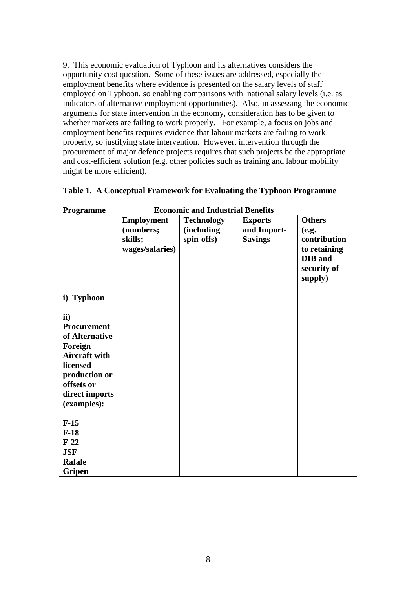9. This economic evaluation of Typhoon and its alternatives considers the opportunity cost question. Some of these issues are addressed, especially the employment benefits where evidence is presented on the salary levels of staff employed on Typhoon, so enabling comparisons with national salary levels (i.e. as indicators of alternative employment opportunities). Also, in assessing the economic arguments for state intervention in the economy, consideration has to be given to whether markets are failing to work properly. For example, a focus on jobs and employment benefits requires evidence that labour markets are failing to work properly, so justifying state intervention. However, intervention through the procurement of major defence projects requires that such projects be the appropriate and cost-efficient solution (e.g. other policies such as training and labour mobility might be more efficient).

| Programme            | <b>Economic and Industrial Benefits</b> |                   |                |               |
|----------------------|-----------------------------------------|-------------------|----------------|---------------|
|                      | <b>Employment</b>                       | <b>Technology</b> | <b>Exports</b> | <b>Others</b> |
|                      | (numbers;                               | (including        | and Import-    | (e.g.         |
|                      | skills;                                 | spin-offs)        | <b>Savings</b> | contribution  |
|                      | wages/salaries)                         |                   |                | to retaining  |
|                      |                                         |                   |                | DIB and       |
|                      |                                         |                   |                | security of   |
|                      |                                         |                   |                | supply)       |
|                      |                                         |                   |                |               |
| i) Typhoon           |                                         |                   |                |               |
|                      |                                         |                   |                |               |
| ii)                  |                                         |                   |                |               |
| Procurement          |                                         |                   |                |               |
| of Alternative       |                                         |                   |                |               |
| Foreign              |                                         |                   |                |               |
| <b>Aircraft with</b> |                                         |                   |                |               |
| licensed             |                                         |                   |                |               |
| production or        |                                         |                   |                |               |
| offsets or           |                                         |                   |                |               |
| direct imports       |                                         |                   |                |               |
| (examples):          |                                         |                   |                |               |
|                      |                                         |                   |                |               |
| $F-15$               |                                         |                   |                |               |
| $F-18$               |                                         |                   |                |               |
| $F-22$               |                                         |                   |                |               |
| <b>JSF</b>           |                                         |                   |                |               |
| Rafale               |                                         |                   |                |               |
| Gripen               |                                         |                   |                |               |

| Table 1. A Conceptual Framework for Evaluating the Typhoon Programme |
|----------------------------------------------------------------------|
|                                                                      |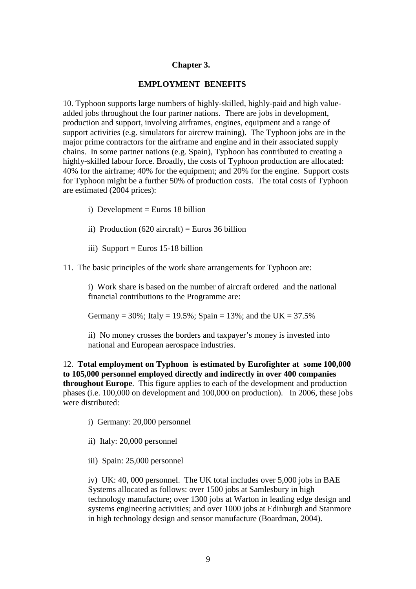### **Chapter 3.**

#### **EMPLOYMENT BENEFITS**

10. Typhoon supports large numbers of highly-skilled, highly-paid and high valueadded jobs throughout the four partner nations. There are jobs in development, production and support, involving airframes, engines, equipment and a range of support activities (e.g. simulators for aircrew training). The Typhoon jobs are in the major prime contractors for the airframe and engine and in their associated supply chains. In some partner nations (e.g. Spain), Typhoon has contributed to creating a highly-skilled labour force. Broadly, the costs of Typhoon production are allocated: 40% for the airframe; 40% for the equipment; and 20% for the engine. Support costs for Typhoon might be a further 50% of production costs. The total costs of Typhoon are estimated (2004 prices):

- i) Development = Euros 18 billion
- ii) Production  $(620 \text{ aircraft}) =$  Euros 36 billion
- iii) Support = Euros 15-18 billion
- 11. The basic principles of the work share arrangements for Typhoon are:

i) Work share is based on the number of aircraft ordered and the national financial contributions to the Programme are:

Germany =  $30\%$ ; Italy =  $19.5\%$ ; Spain =  $13\%$ ; and the UK =  $37.5\%$ 

ii) No money crosses the borders and taxpayer's money is invested into national and European aerospace industries.

12. **Total employment on Typhoon is estimated by Eurofighter at some 100,000 to 105,000 personnel employed directly and indirectly in over 400 companies throughout Europe**. This figure applies to each of the development and production phases (i.e. 100,000 on development and 100,000 on production). In 2006, these jobs were distributed:

- i) Germany: 20,000 personnel
- ii) Italy: 20,000 personnel
- iii) Spain: 25,000 personnel

iv) UK: 40, 000 personnel. The UK total includes over 5,000 jobs in BAE Systems allocated as follows: over 1500 jobs at Samlesbury in high technology manufacture; over 1300 jobs at Warton in leading edge design and systems engineering activities; and over 1000 jobs at Edinburgh and Stanmore in high technology design and sensor manufacture (Boardman, 2004).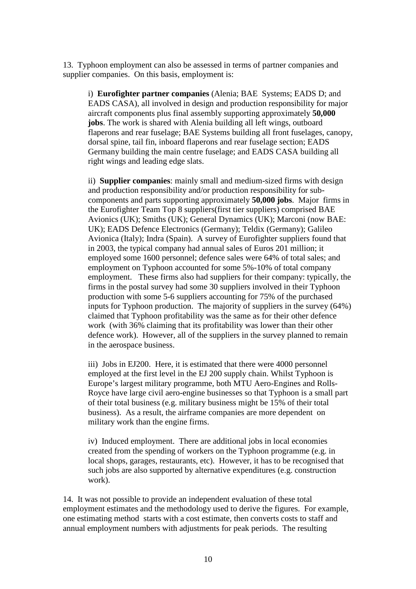13. Typhoon employment can also be assessed in terms of partner companies and supplier companies. On this basis, employment is:

i) **Eurofighter partner companies** (Alenia; BAE Systems; EADS D; and EADS CASA), all involved in design and production responsibility for major aircraft components plus final assembly supporting approximately **50,000 jobs**. The work is shared with Alenia building all left wings, outboard flaperons and rear fuselage; BAE Systems building all front fuselages, canopy, dorsal spine, tail fin, inboard flaperons and rear fuselage section; EADS Germany building the main centre fuselage; and EADS CASA building all right wings and leading edge slats.

ii) **Supplier companies**: mainly small and medium-sized firms with design and production responsibility and/or production responsibility for subcomponents and parts supporting approximately **50,000 jobs**. Major firms in the Eurofighter Team Top 8 suppliers(first tier suppliers) comprised BAE Avionics (UK); Smiths (UK); General Dynamics (UK); Marconi (now BAE: UK); EADS Defence Electronics (Germany); Teldix (Germany); Galileo Avionica (Italy); Indra (Spain). A survey of Eurofighter suppliers found that in 2003, the typical company had annual sales of Euros 201 million; it employed some 1600 personnel; defence sales were 64% of total sales; and employment on Typhoon accounted for some 5%-10% of total company employment. These firms also had suppliers for their company: typically, the firms in the postal survey had some 30 suppliers involved in their Typhoon production with some 5-6 suppliers accounting for 75% of the purchased inputs for Typhoon production. The majority of suppliers in the survey (64%) claimed that Typhoon profitability was the same as for their other defence work (with 36% claiming that its profitability was lower than their other defence work). However, all of the suppliers in the survey planned to remain in the aerospace business.

iii) Jobs in EJ200. Here, it is estimated that there were 4000 personnel employed at the first level in the EJ 200 supply chain. Whilst Typhoon is Europe's largest military programme, both MTU Aero-Engines and Rolls-Royce have large civil aero-engine businesses so that Typhoon is a small part of their total business (e.g. military business might be 15% of their total business). As a result, the airframe companies are more dependent on military work than the engine firms.

iv) Induced employment. There are additional jobs in local economies created from the spending of workers on the Typhoon programme (e.g. in local shops, garages, restaurants, etc). However, it has to be recognised that such jobs are also supported by alternative expenditures (e.g. construction work).

14. It was not possible to provide an independent evaluation of these total employment estimates and the methodology used to derive the figures. For example, one estimating method starts with a cost estimate, then converts costs to staff and annual employment numbers with adjustments for peak periods. The resulting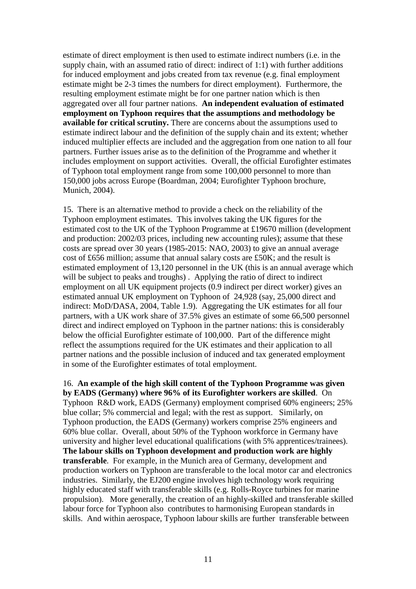estimate of direct employment is then used to estimate indirect numbers (i.e. in the supply chain, with an assumed ratio of direct: indirect of 1:1) with further additions for induced employment and jobs created from tax revenue (e.g. final employment estimate might be 2-3 times the numbers for direct employment). Furthermore, the resulting employment estimate might be for one partner nation which is then aggregated over all four partner nations. **An independent evaluation of estimated employment on Typhoon requires that the assumptions and methodology be available for critical scrutiny.** There are concerns about the assumptions used to estimate indirect labour and the definition of the supply chain and its extent; whether induced multiplier effects are included and the aggregation from one nation to all four partners. Further issues arise as to the definition of the Programme and whether it includes employment on support activities. Overall, the official Eurofighter estimates of Typhoon total employment range from some 100,000 personnel to more than 150,000 jobs across Europe (Boardman, 2004; Eurofighter Typhoon brochure, Munich, 2004).

15. There is an alternative method to provide a check on the reliability of the Typhoon employment estimates. This involves taking the UK figures for the estimated cost to the UK of the Typhoon Programme at £19670 million (development and production: 2002/03 prices, including new accounting rules); assume that these costs are spread over 30 years (1985-2015: NAO, 2003) to give an annual average cost of £656 million; assume that annual salary costs are £50K; and the result is estimated employment of 13,120 personnel in the UK (this is an annual average which will be subject to peaks and troughs). Applying the ratio of direct to indirect employment on all UK equipment projects (0.9 indirect per direct worker) gives an estimated annual UK employment on Typhoon of 24,928 (say, 25,000 direct and indirect: MoD/DASA, 2004, Table 1.9). Aggregating the UK estimates for all four partners, with a UK work share of 37.5% gives an estimate of some 66,500 personnel direct and indirect employed on Typhoon in the partner nations: this is considerably below the official Eurofighter estimate of 100,000. Part of the difference might reflect the assumptions required for the UK estimates and their application to all partner nations and the possible inclusion of induced and tax generated employment in some of the Eurofighter estimates of total employment.

16. **An example of the high skill content of the Typhoon Programme was given by EADS (Germany) where 96% of its Eurofighter workers are skilled**. On Typhoon R&D work, EADS (Germany) employment comprised 60% engineers; 25% blue collar; 5% commercial and legal; with the rest as support. Similarly, on Typhoon production, the EADS (Germany) workers comprise 25% engineers and 60% blue collar. Overall, about 50% of the Typhoon workforce in Germany have university and higher level educational qualifications (with 5% apprentices/trainees). **The labour skills on Typhoon development and production work are highly transferable**. For example, in the Munich area of Germany, development and production workers on Typhoon are transferable to the local motor car and electronics industries. Similarly, the EJ200 engine involves high technology work requiring highly educated staff with transferable skills (e.g. Rolls-Royce turbines for marine propulsion). More generally, the creation of an highly-skilled and transferable skilled labour force for Typhoon also contributes to harmonising European standards in skills. And within aerospace, Typhoon labour skills are further transferable between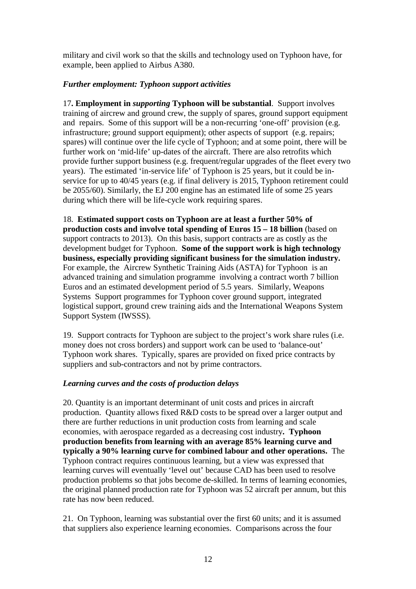military and civil work so that the skills and technology used on Typhoon have, for example, been applied to Airbus A380.

# *Further employment: Typhoon support activities*

17**. Employment in** *supporting* **Typhoon will be substantial**. Support involves training of aircrew and ground crew, the supply of spares, ground support equipment and repairs. Some of this support will be a non-recurring 'one-off' provision (e.g. infrastructure; ground support equipment); other aspects of support (e.g. repairs; spares) will continue over the life cycle of Typhoon; and at some point, there will be further work on 'mid-life' up-dates of the aircraft. There are also retrofits which provide further support business (e.g. frequent/regular upgrades of the fleet every two years). The estimated 'in-service life' of Typhoon is 25 years, but it could be inservice for up to 40/45 years (e.g. if final delivery is 2015, Typhoon retirement could be 2055/60). Similarly, the EJ 200 engine has an estimated life of some 25 years during which there will be life-cycle work requiring spares.

18. **Estimated support costs on Typhoon are at least a further 50% of production costs and involve total spending of Euros 15 – 18 billion** (based on support contracts to 2013). On this basis, support contracts are as costly as the development budget for Typhoon. **Some of the support work is high technology business, especially providing significant business for the simulation industry.**  For example, the Aircrew Synthetic Training Aids (ASTA) for Typhoon is an advanced training and simulation programme involving a contract worth 7 billion Euros and an estimated development period of 5.5 years. Similarly, Weapons Systems Support programmes for Typhoon cover ground support, integrated logistical support, ground crew training aids and the International Weapons System Support System (IWSSS).

19. Support contracts for Typhoon are subject to the project's work share rules (i.e. money does not cross borders) and support work can be used to 'balance-out' Typhoon work shares. Typically, spares are provided on fixed price contracts by suppliers and sub-contractors and not by prime contractors.

# *Learning curves and the costs of production delays*

20. Quantity is an important determinant of unit costs and prices in aircraft production. Quantity allows fixed R&D costs to be spread over a larger output and there are further reductions in unit production costs from learning and scale economies, with aerospace regarded as a decreasing cost industry**. Typhoon production benefits from learning with an average 85% learning curve and typically a 90% learning curve for combined labour and other operations.** The Typhoon contract requires continuous learning, but a view was expressed that learning curves will eventually 'level out' because CAD has been used to resolve production problems so that jobs become de-skilled. In terms of learning economies, the original planned production rate for Typhoon was 52 aircraft per annum, but this rate has now been reduced.

21. On Typhoon, learning was substantial over the first 60 units; and it is assumed that suppliers also experience learning economies. Comparisons across the four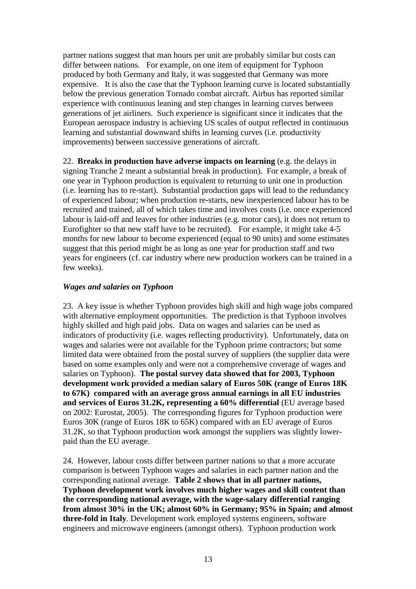partner nations suggest that man hours per unit are probably similar but costs can differ between nations. For example, on one item of equipment for Typhoon produced by both Germany and Italy, it was suggested that Germany was more expensive. It is also the case that the Typhoon learning curve is located substantially below the previous generation Tornado combat aircraft. Airbus has reported similar experience with continuous leaning and step changes in learning curves between generations of jet airliners. Such experience is significant since it indicates that the European aerospace industry is achieving US scales of output reflected in continuous learning and substantial downward shifts in learning curves (i.e. productivity improvements) between successive generations of aircraft.

22. **Breaks in production have adverse impacts on learning** (e.g. the delays in signing Tranche 2 meant a substantial break in production). For example, a break of one year in Typhoon production is equivalent to returning to unit one in production (i.e. learning has to re-start). Substantial production gaps will lead to the redundancy of experienced labour; when production re-starts, new inexperienced labour has to be recruited and trained, all of which takes time and involves costs (i.e. once experienced labour is laid-off and leaves for other industries (e.g. motor cars), it does not return to Eurofighter so that new staff have to be recruited). For example, it might take 4-5 months for new labour to become experienced (equal to 90 units) and some estimates suggest that this period might be as long as one year for production staff and two years for engineers (cf. car industry where new production workers can be trained in a few weeks).

# *Wages and salaries on Typhoon*

23. A key issue is whether Typhoon provides high skill and high wage jobs compared with alternative employment opportunities. The prediction is that Typhoon involves highly skilled and high paid jobs. Data on wages and salaries can be used as indicators of productivity (i.e. wages reflecting productivity). Unfortunately, data on wages and salaries were not available for the Typhoon prime contractors; but some limited data were obtained from the postal survey of suppliers (the supplier data were based on some examples only and were not a comprehensive coverage of wages and salaries on Typhoon). **The postal survey data showed that for 2003, Typhoon development work provided a median salary of Euros 50K (range of Euros 18K to 67K) compared with an average gross annual earnings in all EU industries and services of Euros 31.2K, representing a 60% differential** (EU average based on 2002: Eurostat, 2005). The corresponding figures for Typhoon production were Euros 30K (range of Euros 18K to 65K) compared with an EU average of Euros 31.2K, so that Typhoon production work amongst the suppliers was slightly lowerpaid than the EU average.

24. However, labour costs differ between partner nations so that a more accurate comparison is between Typhoon wages and salaries in each partner nation and the corresponding national average. **Table 2 shows that in all partner nations, Typhoon development work involves much higher wages and skill content than the corresponding national average, with the wage-salary differential ranging from almost 30% in the UK; almost 60% in Germany; 95% in Spain; and almost three-fold in Italy**. Development work employed systems engineers, software engineers and microwave engineers (amongst others). Typhoon production work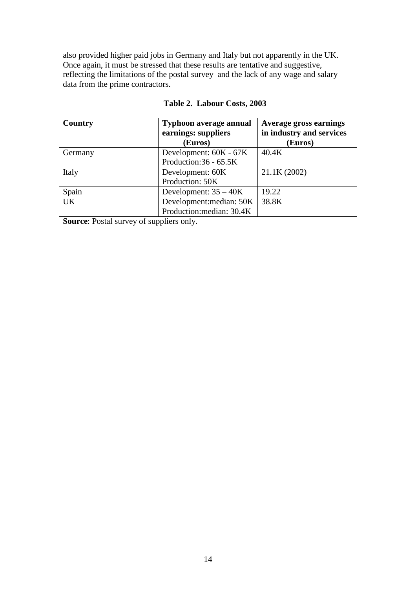also provided higher paid jobs in Germany and Italy but not apparently in the UK. Once again, it must be stressed that these results are tentative and suggestive, reflecting the limitations of the postal survey and the lack of any wage and salary data from the prime contractors.

| Country   | <b>Typhoon average annual</b><br>earnings: suppliers<br>(Euros) | <b>Average gross earnings</b><br>in industry and services<br>(Euros) |
|-----------|-----------------------------------------------------------------|----------------------------------------------------------------------|
| Germany   | Development: 60K - 67K<br>Production:36 - 65.5K                 | 40.4K                                                                |
| Italy     | Development: 60K<br>Production: 50K                             | 21.1K (2002)                                                         |
| Spain     | Development: $35 - 40K$                                         | 19.22                                                                |
| <b>UK</b> | Development: median: 50K<br>Production: median: 30.4K           | 38.8K                                                                |

# **Table 2. Labour Costs, 2003**

**Source:** Postal survey of suppliers only.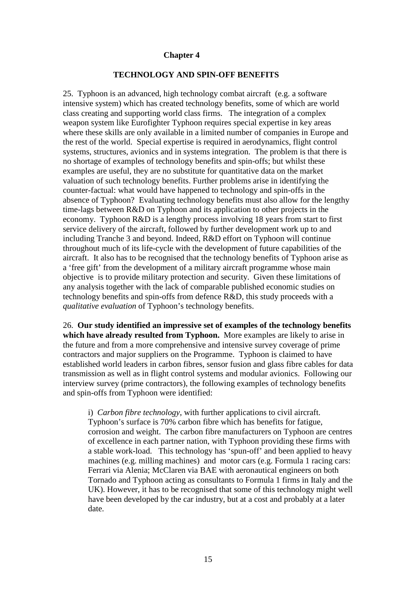#### **Chapter 4**

### **TECHNOLOGY AND SPIN-OFF BENEFITS**

25. Typhoon is an advanced, high technology combat aircraft (e.g. a software intensive system) which has created technology benefits, some of which are world class creating and supporting world class firms. The integration of a complex weapon system like Eurofighter Typhoon requires special expertise in key areas where these skills are only available in a limited number of companies in Europe and the rest of the world. Special expertise is required in aerodynamics, flight control systems, structures, avionics and in systems integration. The problem is that there is no shortage of examples of technology benefits and spin-offs; but whilst these examples are useful, they are no substitute for quantitative data on the market valuation of such technology benefits. Further problems arise in identifying the counter-factual: what would have happened to technology and spin-offs in the absence of Typhoon? Evaluating technology benefits must also allow for the lengthy time-lags between R&D on Typhoon and its application to other projects in the economy. Typhoon R&D is a lengthy process involving 18 years from start to first service delivery of the aircraft, followed by further development work up to and including Tranche 3 and beyond. Indeed, R&D effort on Typhoon will continue throughout much of its life-cycle with the development of future capabilities of the aircraft. It also has to be recognised that the technology benefits of Typhoon arise as a 'free gift' from the development of a military aircraft programme whose main objective is to provide military protection and security. Given these limitations of any analysis together with the lack of comparable published economic studies on technology benefits and spin-offs from defence R&D, this study proceeds with a *qualitative evaluation* of Typhoon's technology benefits.

26. **Our study identified an impressive set of examples of the technology benefits which have already resulted from Typhoon.** More examples are likely to arise in the future and from a more comprehensive and intensive survey coverage of prime contractors and major suppliers on the Programme. Typhoon is claimed to have established world leaders in carbon fibres, sensor fusion and glass fibre cables for data transmission as well as in flight control systems and modular avionics. Following our interview survey (prime contractors), the following examples of technology benefits and spin-offs from Typhoon were identified:

i) *Carbon fibre technology*, with further applications to civil aircraft. Typhoon's surface is 70% carbon fibre which has benefits for fatigue, corrosion and weight. The carbon fibre manufacturers on Typhoon are centres of excellence in each partner nation, with Typhoon providing these firms with a stable work-load. This technology has 'spun-off' and been applied to heavy machines (e.g. milling machines) and motor cars (e.g. Formula 1 racing cars: Ferrari via Alenia; McClaren via BAE with aeronautical engineers on both Tornado and Typhoon acting as consultants to Formula 1 firms in Italy and the UK). However, it has to be recognised that some of this technology might well have been developed by the car industry, but at a cost and probably at a later date.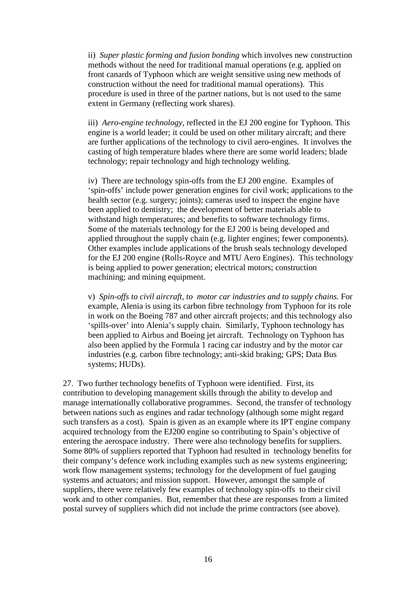ii) *Super plastic forming and fusion bonding* which involves new construction methods without the need for traditional manual operations (e.g. applied on front canards of Typhoon which are weight sensitive using new methods of construction without the need for traditional manual operations). This procedure is used in three of the partner nations, but is not used to the same extent in Germany (reflecting work shares).

iii) *Aero-engine technology*, reflected in the EJ 200 engine for Typhoon. This engine is a world leader; it could be used on other military aircraft; and there are further applications of the technology to civil aero-engines. It involves the casting of high temperature blades where there are some world leaders; blade technology; repair technology and high technology welding.

iv) There are technology spin-offs from the EJ 200 engine. Examples of 'spin-offs' include power generation engines for civil work; applications to the health sector (e.g. surgery; joints); cameras used to inspect the engine have been applied to dentistry; the development of better materials able to withstand high temperatures; and benefits to software technology firms. Some of the materials technology for the EJ 200 is being developed and applied throughout the supply chain (e.g. lighter engines; fewer components). Other examples include applications of the brush seals technology developed for the EJ 200 engine (Rolls-Royce and MTU Aero Engines). This technology is being applied to power generation; electrical motors; construction machining; and mining equipment.

v) *Spin-offs to civil aircraft, to motor car industries and to supply chains.* For example, Alenia is using its carbon fibre technology from Typhoon for its role in work on the Boeing 787 and other aircraft projects; and this technology also 'spills-over' into Alenia's supply chain. Similarly, Typhoon technology has been applied to Airbus and Boeing jet aircraft. Technology on Typhoon has also been applied by the Formula 1 racing car industry and by the motor car industries (e.g. carbon fibre technology; anti-skid braking; GPS; Data Bus systems; HUDs).

27. Two further technology benefits of Typhoon were identified. First, its contribution to developing management skills through the ability to develop and manage internationally collaborative programmes. Second, the transfer of technology between nations such as engines and radar technology (although some might regard such transfers as a cost). Spain is given as an example where its IPT engine company acquired technology from the EJ200 engine so contributing to Spain's objective of entering the aerospace industry. There were also technology benefits for suppliers. Some 80% of suppliers reported that Typhoon had resulted in technology benefits for their company's defence work including examples such as new systems engineering; work flow management systems; technology for the development of fuel gauging systems and actuators; and mission support. However, amongst the sample of suppliers, there were relatively few examples of technology spin-offs to their civil work and to other companies. But, remember that these are responses from a limited postal survey of suppliers which did not include the prime contractors (see above).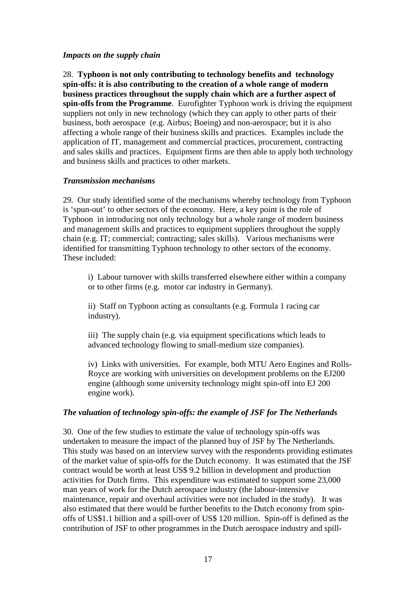### *Impacts on the supply chain*

28. **Typhoon is not only contributing to technology benefits and technology spin-offs: it is also contributing to the creation of a whole range of modern business practices throughout the supply chain which are a further aspect of spin-offs from the Programme**. Eurofighter Typhoon work is driving the equipment suppliers not only in new technology (which they can apply to other parts of their business, both aerospace (e.g. Airbus; Boeing) and non-aerospace; but it is also affecting a whole range of their business skills and practices. Examples include the application of IT, management and commercial practices, procurement, contracting and sales skills and practices. Equipment firms are then able to apply both technology and business skills and practices to other markets.

# *Transmission mechanisms*

29. Our study identified some of the mechanisms whereby technology from Typhoon is 'spun-out' to other sectors of the economy. Here, a key point is the role of Typhoon in introducing not only technology but a whole range of modern business and management skills and practices to equipment suppliers throughout the supply chain (e.g. IT; commercial; contracting; sales skills). Various mechanisms were identified for transmitting Typhoon technology to other sectors of the economy. These included:

i) Labour turnover with skills transferred elsewhere either within a company or to other firms (e.g. motor car industry in Germany).

ii) Staff on Typhoon acting as consultants (e.g. Formula 1 racing car industry).

iii) The supply chain (e.g. via equipment specifications which leads to advanced technology flowing to small-medium size companies).

iv) Links with universities. For example, both MTU Aero Engines and Rolls-Royce are working with universities on development problems on the EJ200 engine (although some university technology might spin-off into EJ 200 engine work).

# *The valuation of technology spin-offs: the example of JSF for The Netherlands*

30. One of the few studies to estimate the value of technology spin-offs was undertaken to measure the impact of the planned buy of JSF by The Netherlands. This study was based on an interview survey with the respondents providing estimates of the market value of spin-offs for the Dutch economy. It was estimated that the JSF contract would be worth at least US\$ 9.2 billion in development and production activities for Dutch firms. This expenditure was estimated to support some 23,000 man years of work for the Dutch aerospace industry (the labour-intensive maintenance, repair and overhaul activities were not included in the study). It was also estimated that there would be further benefits to the Dutch economy from spinoffs of US\$1.1 billion and a spill-over of US\$ 120 million. Spin-off is defined as the contribution of JSF to other programmes in the Dutch aerospace industry and spill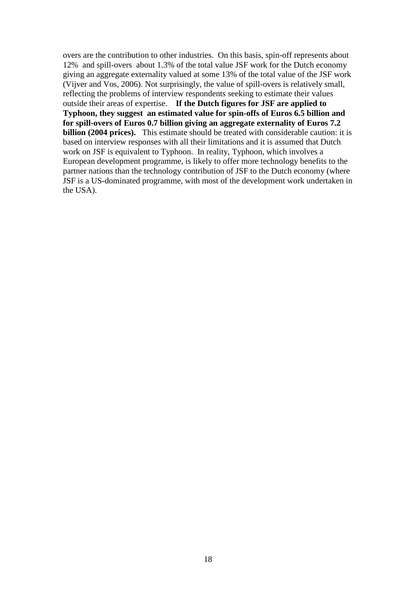overs are the contribution to other industries. On this basis, spin-off represents about 12% and spill-overs about 1.3% of the total value JSF work for the Dutch economy giving an aggregate externality valued at some 13% of the total value of the JSF work (Vijver and Vos, 2006). Not surprisingly, the value of spill-overs is relatively small, reflecting the problems of interview respondents seeking to estimate their values outside their areas of expertise. **If the Dutch figures for JSF are applied to Typhoon, they suggest an estimated value for spin-offs of Euros 6.5 billion and for spill-overs of Euros 0.7 billion giving an aggregate externality of Euros 7.2 billion (2004 prices).** This estimate should be treated with considerable caution: it is based on interview responses with all their limitations and it is assumed that Dutch work on JSF is equivalent to Typhoon. In reality, Typhoon, which involves a European development programme, is likely to offer more technology benefits to the partner nations than the technology contribution of JSF to the Dutch economy (where JSF is a US-dominated programme, with most of the development work undertaken in the USA).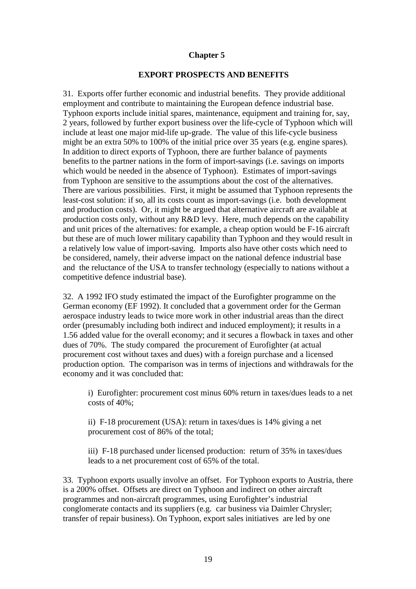### **Chapter 5**

#### **EXPORT PROSPECTS AND BENEFITS**

31. Exports offer further economic and industrial benefits. They provide additional employment and contribute to maintaining the European defence industrial base. Typhoon exports include initial spares, maintenance, equipment and training for, say, 2 years, followed by further export business over the life-cycle of Typhoon which will include at least one major mid-life up-grade. The value of this life-cycle business might be an extra 50% to 100% of the initial price over 35 years (e.g. engine spares). In addition to direct exports of Typhoon, there are further balance of payments benefits to the partner nations in the form of import-savings (i.e. savings on imports which would be needed in the absence of Typhoon). Estimates of import-savings from Typhoon are sensitive to the assumptions about the cost of the alternatives. There are various possibilities. First, it might be assumed that Typhoon represents the least-cost solution: if so, all its costs count as import-savings (i.e. both development and production costs). Or, it might be argued that alternative aircraft are available at production costs only, without any R&D levy. Here, much depends on the capability and unit prices of the alternatives: for example, a cheap option would be F-16 aircraft but these are of much lower military capability than Typhoon and they would result in a relatively low value of import-saving. Imports also have other costs which need to be considered, namely, their adverse impact on the national defence industrial base and the reluctance of the USA to transfer technology (especially to nations without a competitive defence industrial base).

32. A 1992 IFO study estimated the impact of the Eurofighter programme on the German economy (EF 1992). It concluded that a government order for the German aerospace industry leads to twice more work in other industrial areas than the direct order (presumably including both indirect and induced employment); it results in a 1.56 added value for the overall economy; and it secures a flowback in taxes and other dues of 70%. The study compared the procurement of Eurofighter (at actual procurement cost without taxes and dues) with a foreign purchase and a licensed production option. The comparison was in terms of injections and withdrawals for the economy and it was concluded that:

i) Eurofighter: procurement cost minus 60% return in taxes/dues leads to a net costs of 40%;

ii) F-18 procurement (USA): return in taxes/dues is 14% giving a net procurement cost of 86% of the total;

iii) F-18 purchased under licensed production: return of 35% in taxes/dues leads to a net procurement cost of 65% of the total.

33. Typhoon exports usually involve an offset. For Typhoon exports to Austria, there is a 200% offset. Offsets are direct on Typhoon and indirect on other aircraft programmes and non-aircraft programmes, using Eurofighter's industrial conglomerate contacts and its suppliers (e.g. car business via Daimler Chrysler; transfer of repair business). On Typhoon, export sales initiatives are led by one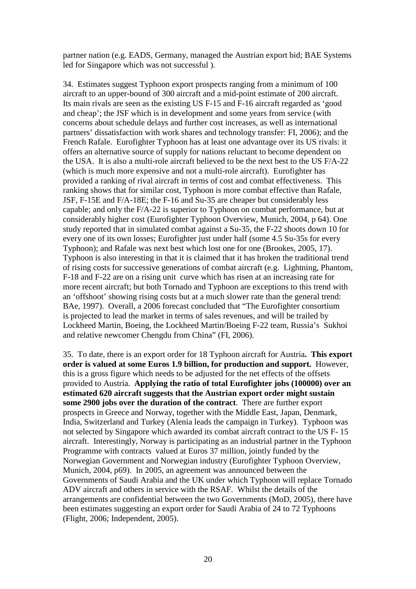partner nation (e.g. EADS, Germany, managed the Austrian export bid; BAE Systems led for Singapore which was not successful ).

34. Estimates suggest Typhoon export prospects ranging from a minimum of 100 aircraft to an upper-bound of 300 aircraft and a mid-point estimate of 200 aircraft. Its main rivals are seen as the existing US F-15 and F-16 aircraft regarded as 'good and cheap'; the JSF which is in development and some years from service (with concerns about schedule delays and further cost increases, as well as international partners' dissatisfaction with work shares and technology transfer: FI, 2006); and the French Rafale. Eurofighter Typhoon has at least one advantage over its US rivals: it offers an alternative source of supply for nations reluctant to become dependent on the USA. It is also a multi-role aircraft believed to be the next best to the US F/A-22 (which is much more expensive and not a multi-role aircraft). Eurofighter has provided a ranking of rival aircraft in terms of cost and combat effectiveness. This ranking shows that for similar cost, Typhoon is more combat effective than Rafale, JSF, F-15E and F/A-18E; the F-16 and Su-35 are cheaper but considerably less capable; and only the F/A-22 is superior to Typhoon on combat performance, but at considerably higher cost (Eurofighter Typhoon Overview, Munich, 2004, p 64). One study reported that in simulated combat against a Su-35, the F-22 shoots down 10 for every one of its own losses; Eurofighter just under half (some 4.5 Su-35s for every Typhoon); and Rafale was next best which lost one for one (Brookes, 2005, 17). Typhoon is also interesting in that it is claimed that it has broken the traditional trend of rising costs for successive generations of combat aircraft (e.g. Lightning, Phantom, F-18 and F-22 are on a rising unit curve which has risen at an increasing rate for more recent aircraft; but both Tornado and Typhoon are exceptions to this trend with an 'offshoot' showing rising costs but at a much slower rate than the general trend: BAe, 1997). Overall, a 2006 forecast concluded that "The Eurofighter consortium is projected to lead the market in terms of sales revenues, and will be trailed by Lockheed Martin, Boeing, the Lockheed Martin/Boeing F-22 team, Russia's Sukhoi and relative newcomer Chengdu from China" (FI, 2006).

35. To date, there is an export order for 18 Typhoon aircraft for Austria**. This export order is valued at some Euros 1.9 billion, for production and support.** However, this is a gross figure which needs to be adjusted for the net effects of the offsets provided to Austria. **Applying the ratio of total Eurofighter jobs (100000) over an estimated 620 aircraft suggests that the Austrian export order might sustain some 2900 jobs over the duration of the contract**. There are further export prospects in Greece and Norway, together with the Middle East, Japan, Denmark, India, Switzerland and Turkey (Alenia leads the campaign in Turkey). Typhoon was not selected by Singapore which awarded its combat aircraft contract to the US F- 15 aircraft. Interestingly, Norway is participating as an industrial partner in the Typhoon Programme with contracts valued at Euros 37 million, jointly funded by the Norwegian Government and Norwegian industry (Eurofighter Typhoon Overview, Munich, 2004, p69). In 2005, an agreement was announced between the Governments of Saudi Arabia and the UK under which Typhoon will replace Tornado ADV aircraft and others in service with the RSAF. Whilst the details of the arrangements are confidential between the two Governments (MoD, 2005), there have been estimates suggesting an export order for Saudi Arabia of 24 to 72 Typhoons (Flight, 2006; Independent, 2005).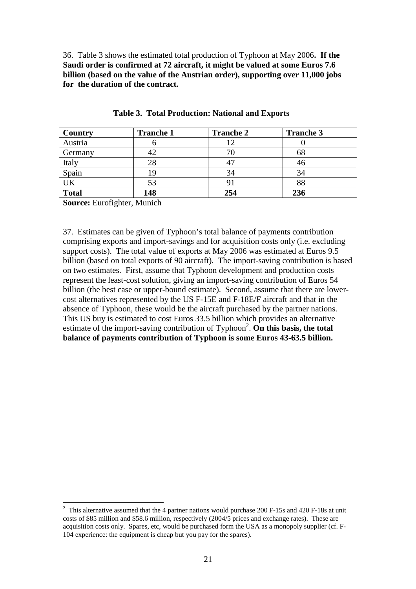36. Table 3 shows the estimated total production of Typhoon at May 2006**. If the Saudi order is confirmed at 72 aircraft, it might be valued at some Euros 7.6 billion (based on the value of the Austrian order), supporting over 11,000 jobs for the duration of the contract.** 

| Country      | <b>Tranche 1</b> | <b>Tranche 2</b> | <b>Tranche 3</b> |
|--------------|------------------|------------------|------------------|
| Austria      |                  |                  |                  |
| Germany      |                  |                  | 68               |
| Italy        | 28               |                  | 46               |
| Spain        |                  | 34               | 34               |
| UK           | 53               | 9.               | 88               |
| <b>Total</b> | 148              | 254              | 236              |

**Table 3. Total Production: National and Exports** 

**Source:** Eurofighter, Munich

 $\overline{a}$ 

37. Estimates can be given of Typhoon's total balance of payments contribution comprising exports and import-savings and for acquisition costs only (i.e. excluding support costs). The total value of exports at May 2006 was estimated at Euros 9.5 billion (based on total exports of 90 aircraft). The import-saving contribution is based on two estimates. First, assume that Typhoon development and production costs represent the least-cost solution, giving an import-saving contribution of Euros 54 billion (the best case or upper-bound estimate). Second, assume that there are lowercost alternatives represented by the US F-15E and F-18E/F aircraft and that in the absence of Typhoon, these would be the aircraft purchased by the partner nations. This US buy is estimated to cost Euros 33.5 billion which provides an alternative estimate of the import-saving contribution of Typhoon<sup>2</sup>. On this basis, the total **balance of payments contribution of Typhoon is some Euros 43-63.5 billion.** 

<sup>2</sup> This alternative assumed that the 4 partner nations would purchase 200 F-15s and 420 F-18s at unit costs of \$85 million and \$58.6 million, respectively (2004/5 prices and exchange rates). These are acquisition costs only. Spares, etc, would be purchased form the USA as a monopoly supplier (cf. F-104 experience: the equipment is cheap but you pay for the spares).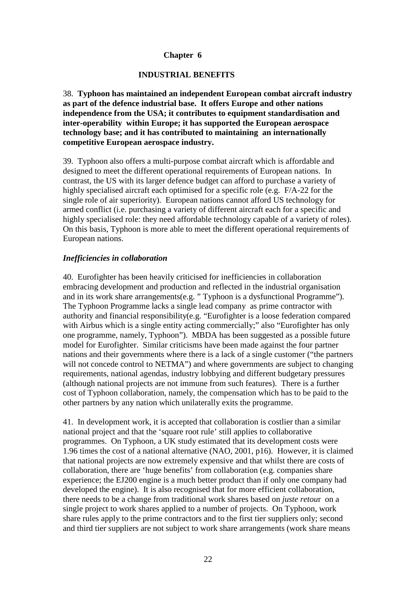# **Chapter 6**

### **INDUSTRIAL BENEFITS**

38. **Typhoon has maintained an independent European combat aircraft industry as part of the defence industrial base. It offers Europe and other nations independence from the USA; it contributes to equipment standardisation and inter-operability within Europe; it has supported the European aerospace technology base; and it has contributed to maintaining an internationally competitive European aerospace industry.** 

39. Typhoon also offers a multi-purpose combat aircraft which is affordable and designed to meet the different operational requirements of European nations. In contrast, the US with its larger defence budget can afford to purchase a variety of highly specialised aircraft each optimised for a specific role (e.g. F/A-22 for the single role of air superiority). European nations cannot afford US technology for armed conflict (i.e. purchasing a variety of different aircraft each for a specific and highly specialised role: they need affordable technology capable of a variety of roles). On this basis, Typhoon is more able to meet the different operational requirements of European nations.

# *Inefficiencies in collaboration*

40. Eurofighter has been heavily criticised for inefficiencies in collaboration embracing development and production and reflected in the industrial organisation and in its work share arrangements(e.g. " Typhoon is a dysfunctional Programme"). The Typhoon Programme lacks a single lead company as prime contractor with authority and financial responsibility(e.g. "Eurofighter is a loose federation compared with Airbus which is a single entity acting commercially;" also "Eurofighter has only one programme, namely, Typhoon"). MBDA has been suggested as a possible future model for Eurofighter. Similar criticisms have been made against the four partner nations and their governments where there is a lack of a single customer ("the partners will not concede control to NETMA") and where governments are subject to changing requirements, national agendas, industry lobbying and different budgetary pressures (although national projects are not immune from such features). There is a further cost of Typhoon collaboration, namely, the compensation which has to be paid to the other partners by any nation which unilaterally exits the programme.

41. In development work, it is accepted that collaboration is costlier than a similar national project and that the 'square root rule' still applies to collaborative programmes. On Typhoon, a UK study estimated that its development costs were 1.96 times the cost of a national alternative (NAO, 2001, p16). However, it is claimed that national projects are now extremely expensive and that whilst there are costs of collaboration, there are 'huge benefits' from collaboration (e.g. companies share experience; the EJ200 engine is a much better product than if only one company had developed the engine). It is also recognised that for more efficient collaboration, there needs to be a change from traditional work shares based on *juste retou*r on a single project to work shares applied to a number of projects. On Typhoon, work share rules apply to the prime contractors and to the first tier suppliers only; second and third tier suppliers are not subject to work share arrangements (work share means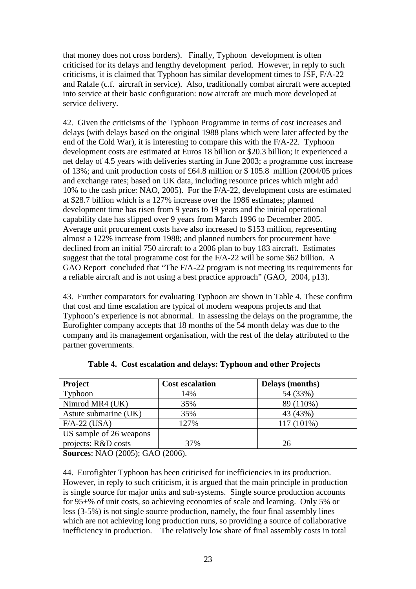that money does not cross borders). Finally, Typhoon development is often criticised for its delays and lengthy development period. However, in reply to such criticisms, it is claimed that Typhoon has similar development times to JSF, F/A-22 and Rafale (c.f. aircraft in service). Also, traditionally combat aircraft were accepted into service at their basic configuration: now aircraft are much more developed at service delivery.

42. Given the criticisms of the Typhoon Programme in terms of cost increases and delays (with delays based on the original 1988 plans which were later affected by the end of the Cold War), it is interesting to compare this with the F/A-22. Typhoon development costs are estimated at Euros 18 billion or \$20.3 billion; it experienced a net delay of 4.5 years with deliveries starting in June 2003; a programme cost increase of 13%; and unit production costs of £64.8 million or \$ 105.8 million (2004/05 prices and exchange rates; based on UK data, including resource prices which might add 10% to the cash price: NAO, 2005). For the F/A-22, development costs are estimated at \$28.7 billion which is a 127% increase over the 1986 estimates; planned development time has risen from 9 years to 19 years and the initial operational capability date has slipped over 9 years from March 1996 to December 2005. Average unit procurement costs have also increased to \$153 million, representing almost a 122% increase from 1988; and planned numbers for procurement have declined from an initial 750 aircraft to a 2006 plan to buy 183 aircraft. Estimates suggest that the total programme cost for the F/A-22 will be some \$62 billion. A GAO Report concluded that "The F/A-22 program is not meeting its requirements for a reliable aircraft and is not using a best practice approach" (GAO, 2004, p13).

43. Further comparators for evaluating Typhoon are shown in Table 4. These confirm that cost and time escalation are typical of modern weapons projects and that Typhoon's experience is not abnormal. In assessing the delays on the programme, the Eurofighter company accepts that 18 months of the 54 month delay was due to the company and its management organisation, with the rest of the delay attributed to the partner governments.

| <b>Project</b>          | <b>Cost escalation</b> | Delays (months) |
|-------------------------|------------------------|-----------------|
| Typhoon                 | 14%                    | 54 (33%)        |
| Nimrod MR4 (UK)         | 35%                    | 89 (110%)       |
| Astute submarine (UK)   | 35%                    | 43 (43%)        |
| $F/A-22$ (USA)          | 127%                   | $117(101\%)$    |
| US sample of 26 weapons |                        |                 |
| projects: R&D costs     | 37%                    | 26              |

**Table 4. Cost escalation and delays: Typhoon and other Projects** 

**Sources**: NAO (2005); GAO (2006).

44. Eurofighter Typhoon has been criticised for inefficiencies in its production. However, in reply to such criticism, it is argued that the main principle in production is single source for major units and sub-systems. Single source production accounts for 95+% of unit costs, so achieving economies of scale and learning. Only 5% or less (3-5%) is not single source production, namely, the four final assembly lines which are not achieving long production runs, so providing a source of collaborative inefficiency in production. The relatively low share of final assembly costs in total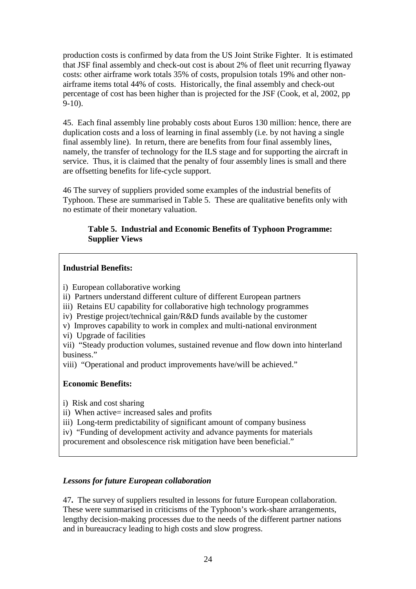production costs is confirmed by data from the US Joint Strike Fighter. It is estimated that JSF final assembly and check-out cost is about 2% of fleet unit recurring flyaway costs: other airframe work totals 35% of costs, propulsion totals 19% and other nonairframe items total 44% of costs. Historically, the final assembly and check-out percentage of cost has been higher than is projected for the JSF (Cook, et al, 2002, pp 9-10).

45. Each final assembly line probably costs about Euros 130 million: hence, there are duplication costs and a loss of learning in final assembly (i.e. by not having a single final assembly line). In return, there are benefits from four final assembly lines, namely, the transfer of technology for the ILS stage and for supporting the aircraft in service. Thus, it is claimed that the penalty of four assembly lines is small and there are offsetting benefits for life-cycle support.

46 The survey of suppliers provided some examples of the industrial benefits of Typhoon. These are summarised in Table 5. These are qualitative benefits only with no estimate of their monetary valuation.

# **Table 5. Industrial and Economic Benefits of Typhoon Programme: Supplier Views**

# **Industrial Benefits:**

- i) European collaborative working
- ii) Partners understand different culture of different European partners
- iii) Retains EU capability for collaborative high technology programmes
- iv) Prestige project/technical gain/R&D funds available by the customer
- v) Improves capability to work in complex and multi-national environment
- vi) Upgrade of facilities
- vii) "Steady production volumes, sustained revenue and flow down into hinterland business."
- viii) "Operational and product improvements have/will be achieved."

# **Economic Benefits:**

- i) Risk and cost sharing
- ii) When active= increased sales and profits
- iii) Long-term predictability of significant amount of company business
- iv) "Funding of development activity and advance payments for materials
- procurement and obsolescence risk mitigation have been beneficial."

# *Lessons for future European collaboration*

47**.** The survey of suppliers resulted in lessons for future European collaboration. These were summarised in criticisms of the Typhoon's work-share arrangements, lengthy decision-making processes due to the needs of the different partner nations and in bureaucracy leading to high costs and slow progress.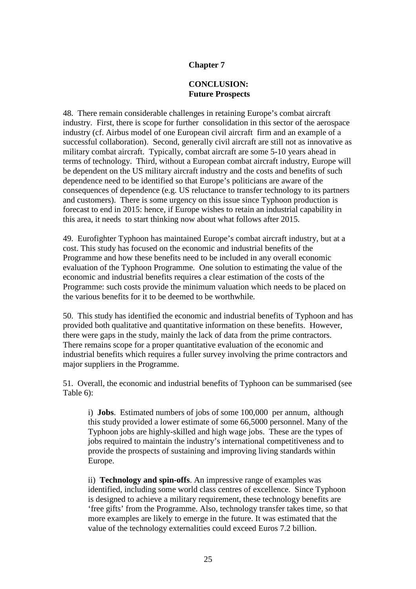# **Chapter 7**

# **CONCLUSION: Future Prospects**

48. There remain considerable challenges in retaining Europe's combat aircraft industry. First, there is scope for further consolidation in this sector of the aerospace industry (cf. Airbus model of one European civil aircraft firm and an example of a successful collaboration). Second, generally civil aircraft are still not as innovative as military combat aircraft. Typically, combat aircraft are some 5-10 years ahead in terms of technology. Third, without a European combat aircraft industry, Europe will be dependent on the US military aircraft industry and the costs and benefits of such dependence need to be identified so that Europe's politicians are aware of the consequences of dependence (e.g. US reluctance to transfer technology to its partners and customers). There is some urgency on this issue since Typhoon production is forecast to end in 2015: hence, if Europe wishes to retain an industrial capability in this area, it needs to start thinking now about what follows after 2015.

49. Eurofighter Typhoon has maintained Europe's combat aircraft industry, but at a cost. This study has focused on the economic and industrial benefits of the Programme and how these benefits need to be included in any overall economic evaluation of the Typhoon Programme. One solution to estimating the value of the economic and industrial benefits requires a clear estimation of the costs of the Programme: such costs provide the minimum valuation which needs to be placed on the various benefits for it to be deemed to be worthwhile.

50. This study has identified the economic and industrial benefits of Typhoon and has provided both qualitative and quantitative information on these benefits. However, there were gaps in the study, mainly the lack of data from the prime contractors. There remains scope for a proper quantitative evaluation of the economic and industrial benefits which requires a fuller survey involving the prime contractors and major suppliers in the Programme.

51. Overall, the economic and industrial benefits of Typhoon can be summarised (see Table 6):

i) **Jobs**. Estimated numbers of jobs of some 100,000 per annum, although this study provided a lower estimate of some 66,5000 personnel. Many of the Typhoon jobs are highly-skilled and high wage jobs. These are the types of jobs required to maintain the industry's international competitiveness and to provide the prospects of sustaining and improving living standards within Europe.

ii) **Technology and spin-offs**. An impressive range of examples was identified, including some world class centres of excellence. Since Typhoon is designed to achieve a military requirement, these technology benefits are 'free gifts' from the Programme. Also, technology transfer takes time, so that more examples are likely to emerge in the future. It was estimated that the value of the technology externalities could exceed Euros 7.2 billion.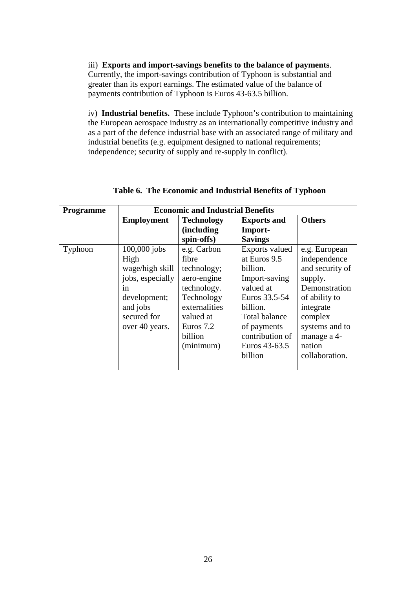iii) **Exports and import-savings benefits to the balance of payments**. Currently, the import-savings contribution of Typhoon is substantial and greater than its export earnings. The estimated value of the balance of payments contribution of Typhoon is Euros 43-63.5 billion.

iv) **Industrial benefits.** These include Typhoon's contribution to maintaining the European aerospace industry as an internationally competitive industry and as a part of the defence industrial base with an associated range of military and industrial benefits (e.g. equipment designed to national requirements; independence; security of supply and re-supply in conflict).

| <b>Programme</b> | <b>Economic and Industrial Benefits</b> |                    |                       |                 |
|------------------|-----------------------------------------|--------------------|-----------------------|-----------------|
|                  | <b>Employment</b>                       | <b>Technology</b>  | <b>Exports and</b>    | <b>Others</b>   |
|                  |                                         | <i>(including)</i> | Import-               |                 |
|                  |                                         | spin-offs)         | <b>Savings</b>        |                 |
| Typhoon          | $100,000$ jobs                          | e.g. Carbon        | <b>Exports</b> valued | e.g. European   |
|                  | High                                    | fibre              | at Euros 9.5          | independence    |
|                  | wage/high skill                         | technology;        | billion.              | and security of |
|                  | jobs, especially                        | aero-engine        | Import-saving         | supply.         |
|                  | in                                      | technology.        | valued at             | Demonstration   |
|                  | development;                            | Technology         | Euros 33.5-54         | of ability to   |
|                  | and jobs                                | externalities      | billion.              | integrate       |
|                  | secured for                             | valued at          | <b>Total balance</b>  | complex         |
|                  | over 40 years.                          | Euros 7.2          | of payments           | systems and to  |
|                  |                                         | billion            | contribution of       | manage a 4-     |
|                  |                                         | (minimum)          | Euros 43-63.5         | nation          |
|                  |                                         |                    | billion               | collaboration.  |
|                  |                                         |                    |                       |                 |

# **Table 6. The Economic and Industrial Benefits of Typhoon**